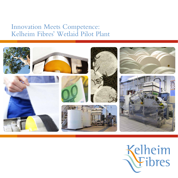## Innovation Meets Competence: Kelheim Fibres ' Wetlaid Pilot Plant



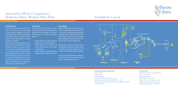

Wetlaid Plant

### **Technical Data:**

Width: Wire 360 mm, Sample 300 mm Speed: 1-10 m/min Wire inclination: 20° Grammage: 20 – 200 gsm Drying: 100 – 200 °C, approx. 40 kW Volume flow [water]: max. 550 l/min Minimum pulp quantity: 1 kg/batch

Kelheim Fibres also recognises that customers face some challenges when starting innovative product or process developments: test runs on big production plants are expensive and disrupt regular production campaigns. Kelheim Fibres' in-house pilot plant allows customers to take the first steps in developing innovative papers without these restrictions – and engineer their new products in close cooperation with Kelheim's R&D fibre experts.

> **Inclined Wire Plant Configuration:** Pulper, Refiner 2 stock chests Rotary distributor Inclined wire line with vaccuum system Continuous through-air dryer, Winder for 3'' cores Reproducible results assured by electronic frequency converter 1-layer headbox



### **The Motivation**

A detailed understanding of the cus- The pilot plant has a strong focus on the Kelheim Fibres invites you to make full use tomer's products and an appreciation ypractical side of customers' development yof the possibilities the technical centre has of the customer's business is crucial for work and with the support of Kelheim's ) to offer: you can fully explore the benefits development work. Only this allows fibres R&D experience, the pilot plant helps

to be offered that are genuinely tailor-them to: made and meet the customers' needs as precisely as possible.

- upscale laboratory results and prepare production trials cost-effectively
- results while varying a wide range of parameters
- create a wide base of data by allowing a high number of trail runs per day

• obtain reliable and scalable test Kelheim Fibres also offers further services including the production of sample sheets for paper or nonwoven applications, and testing of fibre quality and processability.

#### **The System**

#### **Your Benefit**

speciality viscose fibres deliver in your new product, and discover the unique tailor-made fibre perfectly matched to your product's prime requirements.

To discuss the opportunities offered by the pilot plant and associated services, please contact our service team.

# Installation Layout

### Innovation Meets Competence: Kelheim Fibres ' Wetlaid Pilot Plant